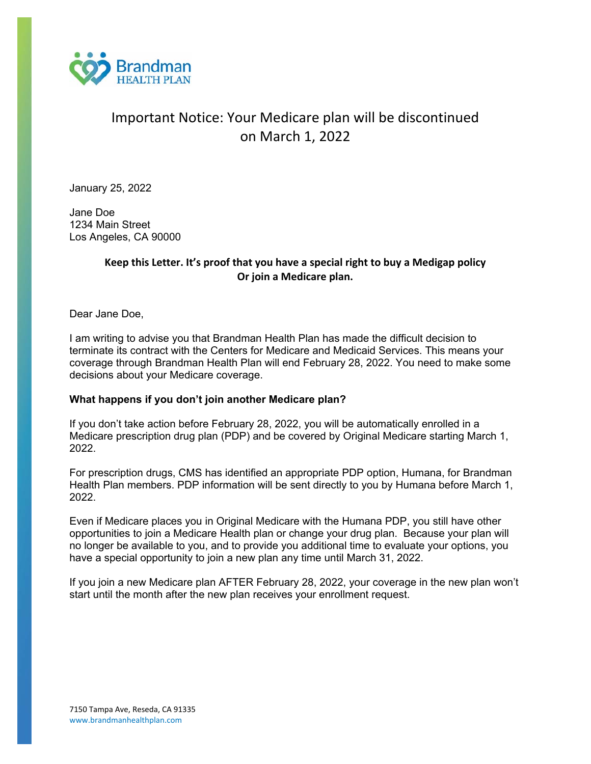

# Important Notice: Your Medicare plan will be discontinued on March 1, 2022

January 25, 2022

Jane Doe 1234 Main Street Los Angeles, CA 90000

## **Keep this Letter. It's proof that you have a special right to buy a Medigap policy Or join a Medicare plan.**

Dear Jane Doe,

I am writing to advise you that Brandman Health Plan has made the difficult decision to terminate its contract with the Centers for Medicare and Medicaid Services. This means your coverage through Brandman Health Plan will end February 28, 2022. You need to make some decisions about your Medicare coverage.

### **What happens if you don't join another Medicare plan?**

If you don't take action before February 28, 2022, you will be automatically enrolled in a Medicare prescription drug plan (PDP) and be covered by Original Medicare starting March 1, 2022.

For prescription drugs, CMS has identified an appropriate PDP option, Humana, for Brandman Health Plan members. PDP information will be sent directly to you by Humana before March 1, 2022.

Even if Medicare places you in Original Medicare with the Humana PDP, you still have other opportunities to join a Medicare Health plan or change your drug plan. Because your plan will no longer be available to you, and to provide you additional time to evaluate your options, you have a special opportunity to join a new plan any time until March 31, 2022.

If you join a new Medicare plan AFTER February 28, 2022, your coverage in the new plan won't start until the month after the new plan receives your enrollment request.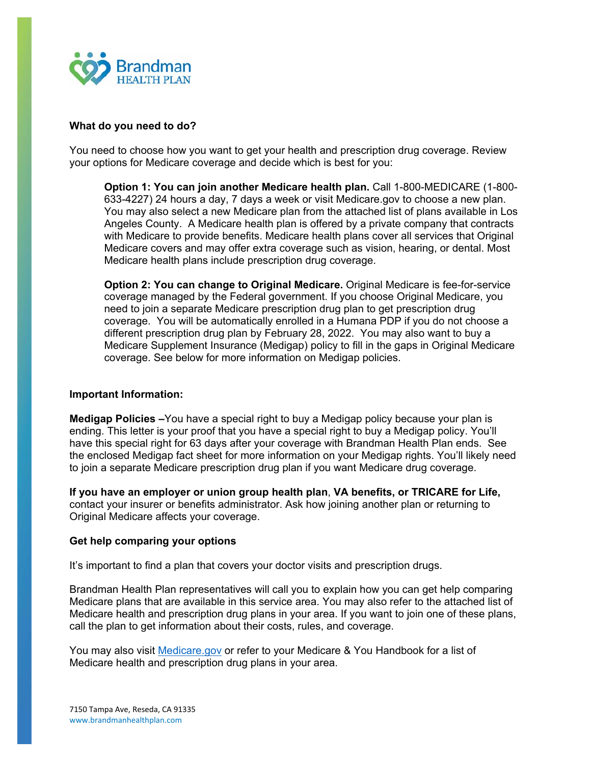

#### **What do you need to do?**

You need to choose how you want to get your health and prescription drug coverage. Review your options for Medicare coverage and decide which is best for you:

**Option 1: You can join another Medicare health plan.** Call 1-800-MEDICARE (1-800- 633-4227) 24 hours a day, 7 days a week or visit Medicare.gov to choose a new plan. You may also select a new Medicare plan from the attached list of plans available in Los Angeles County. A Medicare health plan is offered by a private company that contracts with Medicare to provide benefits. Medicare health plans cover all services that Original Medicare covers and may offer extra coverage such as vision, hearing, or dental. Most Medicare health plans include prescription drug coverage.

**Option 2: You can change to Original Medicare.** Original Medicare is fee-for-service coverage managed by the Federal government. If you choose Original Medicare, you need to join a separate Medicare prescription drug plan to get prescription drug coverage. You will be automatically enrolled in a Humana PDP if you do not choose a different prescription drug plan by February 28, 2022. You may also want to buy a Medicare Supplement Insurance (Medigap) policy to fill in the gaps in Original Medicare coverage. See below for more information on Medigap policies.

#### **Important Information:**

**Medigap Policies –**You have a special right to buy a Medigap policy because your plan is ending. This letter is your proof that you have a special right to buy a Medigap policy. You'll have this special right for 63 days after your coverage with Brandman Health Plan ends. See the enclosed Medigap fact sheet for more information on your Medigap rights. You'll likely need to join a separate Medicare prescription drug plan if you want Medicare drug coverage.

**If you have an employer or union group health plan**, **VA benefits, or TRICARE for Life,**  contact your insurer or benefits administrator. Ask how joining another plan or returning to Original Medicare affects your coverage.

#### **Get help comparing your options**

It's important to find a plan that covers your doctor visits and prescription drugs.

Brandman Health Plan representatives will call you to explain how you can get help comparing Medicare plans that are available in this service area. You may also refer to the attached list of Medicare health and prescription drug plans in your area. If you want to join one of these plans, call the plan to get information about their costs, rules, and coverage.

You may also visit Medicare.gov or refer to your Medicare & You Handbook for a list of Medicare health and prescription drug plans in your area.